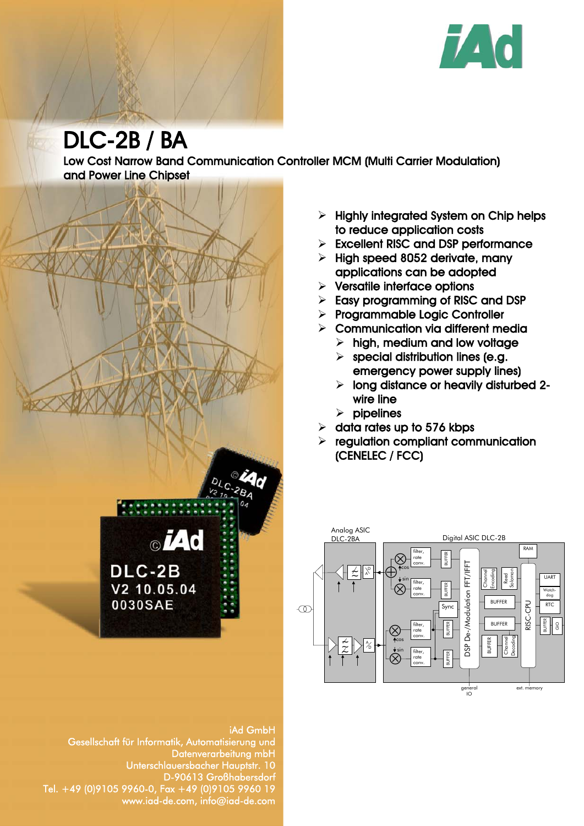

# DLC-2B / BA

Low Cost Narrow Band Communication Controller MCM (Multi Carrier Modulation) and Power Line Chipset



- $\triangleright$  Highly integrated System on Chip helps to reduce application costs
- $\triangleright$  Excellent RISC and DSP performance
- $\triangleright$  High speed 8052 derivate, many applications can be adopted
- $\triangleright$  Versatile interface options
- $\triangleright$  Easy programming of RISC and DSP
- $\triangleright$  Programmable Logic Controller
- $\triangleright$  Communication via different media
	- $\triangleright$  high, medium and low voltage
	- $\triangleright$  special distribution lines (e.g. emergency power supply lines)
	- $\triangleright$  long distance or heavily disturbed 2wire line
	- $\triangleright$  pipelines
- $\geq$  data rates up to 576 kbps
- $\triangleright$  regulation compliant communication (CENELEC / FCC)



iAd GmbH Gesellschaft für Informatik, Automatisierung und Datenverarbeitung mbH Unterschlauersbacher Hauptstr. 10 D-90613 Großhabersdorf Tel. +49 (0)9105 9960-0, Fax +49 (0)9105 9960 19 www.iad-de.com, info@iad-de.com